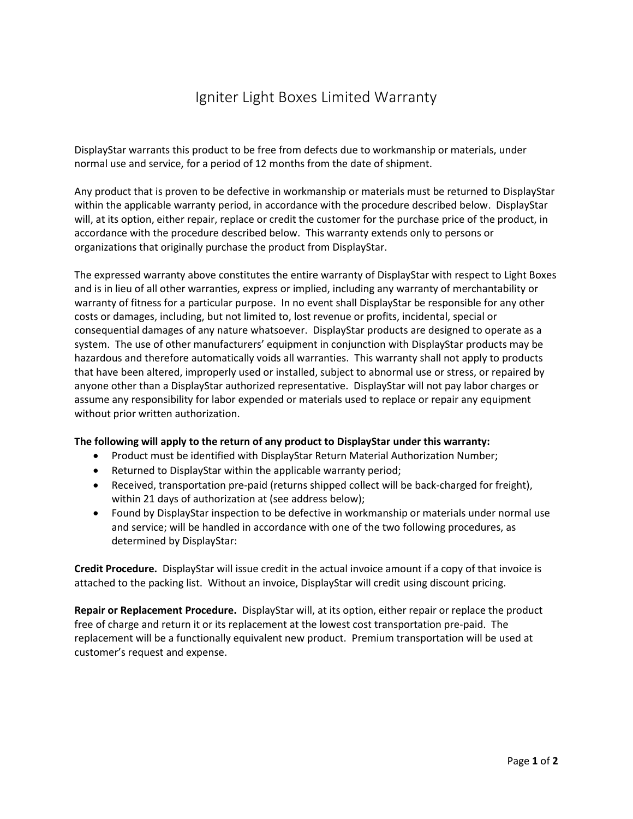## Igniter Light Boxes Limited Warranty

DisplayStar warrants this product to be free from defects due to workmanship or materials, under normal use and service, for a period of 12 months from the date of shipment.

Any product that is proven to be defective in workmanship or materials must be returned to DisplayStar within the applicable warranty period, in accordance with the procedure described below. DisplayStar will, at its option, either repair, replace or credit the customer for the purchase price of the product, in accordance with the procedure described below. This warranty extends only to persons or organizations that originally purchase the product from DisplayStar.

The expressed warranty above constitutes the entire warranty of DisplayStar with respect to Light Boxes and is in lieu of all other warranties, express or implied, including any warranty of merchantability or warranty of fitness for a particular purpose. In no event shall DisplayStar be responsible for any other costs or damages, including, but not limited to, lost revenue or profits, incidental, special or consequential damages of any nature whatsoever. DisplayStar products are designed to operate as a system. The use of other manufacturers' equipment in conjunction with DisplayStar products may be hazardous and therefore automatically voids all warranties. This warranty shall not apply to products that have been altered, improperly used or installed, subject to abnormal use or stress, or repaired by anyone other than a DisplayStar authorized representative. DisplayStar will not pay labor charges or assume any responsibility for labor expended or materials used to replace or repair any equipment without prior written authorization.

## **The following will apply to the return of any product to DisplayStar under this warranty:**

- Product must be identified with DisplayStar Return Material Authorization Number;
- Returned to DisplayStar within the applicable warranty period;
- Received, transportation pre-paid (returns shipped collect will be back-charged for freight), within 21 days of authorization at (see address below);
- Found by DisplayStar inspection to be defective in workmanship or materials under normal use and service; will be handled in accordance with one of the two following procedures, as determined by DisplayStar:

**Credit Procedure.** DisplayStar will issue credit in the actual invoice amount if a copy of that invoice is attached to the packing list. Without an invoice, DisplayStar will credit using discount pricing.

**Repair or Replacement Procedure.** DisplayStar will, at its option, either repair or replace the product free of charge and return it or its replacement at the lowest cost transportation pre-paid. The replacement will be a functionally equivalent new product. Premium transportation will be used at customer's request and expense.